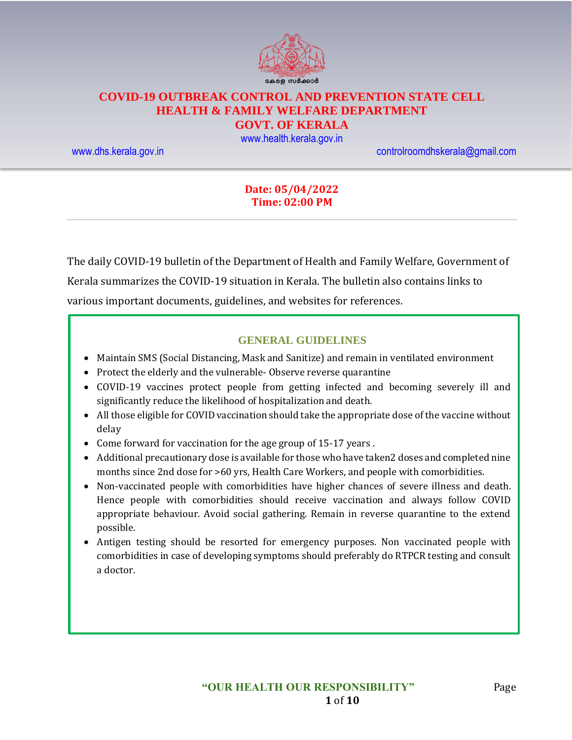

# **COVID-19 OUTBREAK CONTROL AND PREVENTION STATE CELL HEALTH & FAMILY WELFARE DEPARTMENT**

### **GOVT. OF KERALA**

[www.health.kerala.gov.in](file:///D:/My%20Documents/Mahesh%20-%20Dont%20Delete/Assistant%20Surgeon/Aardram%20Mission/Projects/COVID%20Control%20Room/Bulletin%20Format%20New/www.health.kerala.gov.in)

[www.dhs.kerala.gov.in](http://www.dhs.kerala.gov.in/) [controlroomdhskerala@gmail.com](mailto:controlroomdhskerala@gmail.com)

### **Date: 05/04/2022 Time: 02:00 PM**

The daily COVID-19 bulletin of the Department of Health and Family Welfare, Government of Kerala summarizes the COVID-19 situation in Kerala. The bulletin also contains links to various important documents, guidelines, and websites for references.

### **GENERAL GUIDELINES**

- Maintain SMS (Social Distancing, Mask and Sanitize) and remain in ventilated environment
- Protect the elderly and the vulnerable-Observe reverse quarantine
- COVID-19 vaccines protect people from getting infected and becoming severely ill and significantly reduce the likelihood of hospitalization and death.
- All those eligible for COVID vaccination should take the appropriate dose of the vaccine without delay
- Come forward for vaccination for the age group of 15-17 years .
- Additional precautionary dose is available for those who have taken2 doses and completed nine months since 2nd dose for >60 yrs, Health Care Workers, and people with comorbidities.
- Non-vaccinated people with comorbidities have higher chances of severe illness and death. Hence people with comorbidities should receive vaccination and always follow COVID appropriate behaviour. Avoid social gathering. Remain in reverse quarantine to the extend possible.
- Antigen testing should be resorted for emergency purposes. Non vaccinated people with comorbidities in case of developing symptoms should preferably do RTPCR testing and consult a doctor.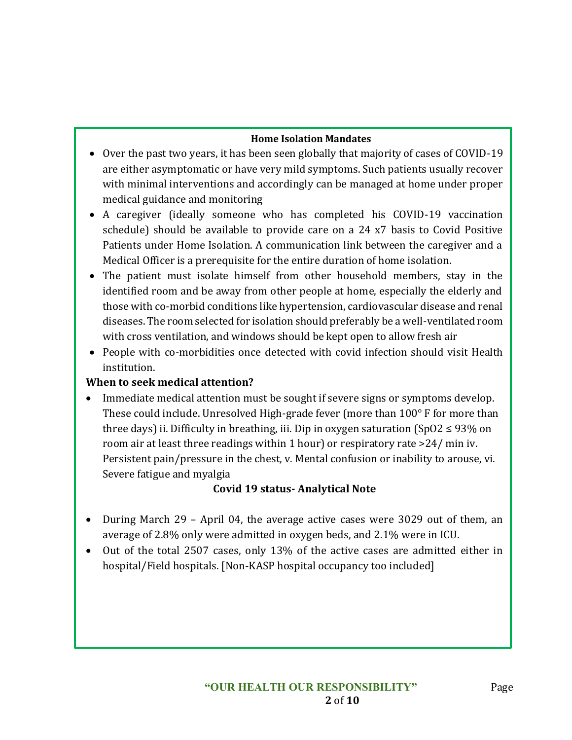### **Home Isolation Mandates**

- Over the past two years, it has been seen globally that majority of cases of COVID-19 are either asymptomatic or have very mild symptoms. Such patients usually recover with minimal interventions and accordingly can be managed at home under proper medical guidance and monitoring
- A caregiver (ideally someone who has completed his COVID-19 vaccination schedule) should be available to provide care on a 24 x7 basis to Covid Positive Patients under Home Isolation. A communication link between the caregiver and a Medical Officer is a prerequisite for the entire duration of home isolation.
- The patient must isolate himself from other household members, stay in the identified room and be away from other people at home, especially the elderly and those with co-morbid conditions like hypertension, cardiovascular disease and renal diseases. The room selected for isolation should preferably be a well-ventilated room with cross ventilation, and windows should be kept open to allow fresh air
- People with co-morbidities once detected with covid infection should visit Health institution.

### **When to seek medical attention?**

• Immediate medical attention must be sought if severe signs or symptoms develop. These could include. Unresolved High-grade fever (more than 100° F for more than three days) ii. Difficulty in breathing, iii. Dip in oxygen saturation (SpO2  $\leq$  93% on room air at least three readings within 1 hour) or respiratory rate >24/ min iv. Persistent pain/pressure in the chest, v. Mental confusion or inability to arouse, vi. Severe fatigue and myalgia

## **Covid 19 status- Analytical Note**

- During March 29 April 04, the average active cases were 3029 out of them, an average of 2.8% only were admitted in oxygen beds, and 2.1% were in ICU.
- Out of the total 2507 cases, only 13% of the active cases are admitted either in hospital/Field hospitals. [Non-KASP hospital occupancy too included]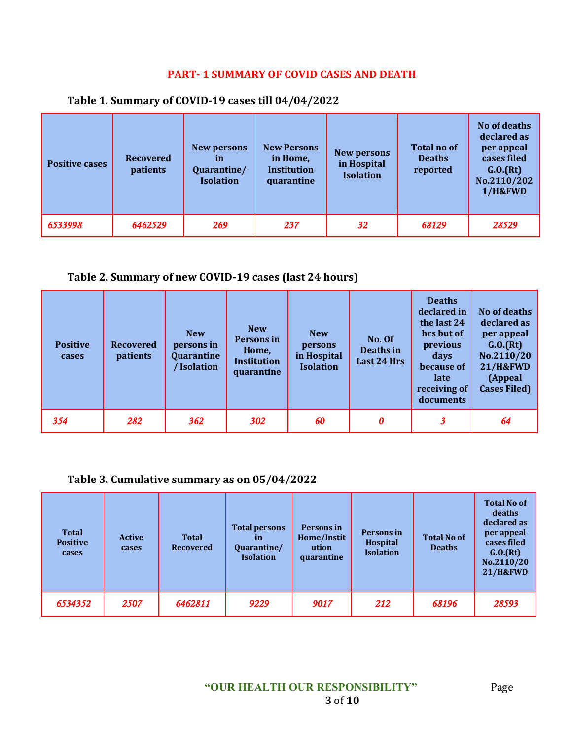## **PART- 1 SUMMARY OF COVID CASES AND DEATH**

| <b>Positive cases</b> | <b>Recovered</b><br>patients | New persons<br>in<br>Quarantine/<br><b>Isolation</b> | <b>New Persons</b><br>in Home,<br><b>Institution</b><br>quarantine | New persons<br>in Hospital<br><b>Isolation</b> | <b>Total no of</b><br><b>Deaths</b><br>reported | No of deaths<br>declared as<br>per appeal<br>cases filed<br>G.0.(Rt)<br>No.2110/202<br>1/H&FWD |
|-----------------------|------------------------------|------------------------------------------------------|--------------------------------------------------------------------|------------------------------------------------|-------------------------------------------------|------------------------------------------------------------------------------------------------|
| 6533998               | 6462529                      | 269                                                  | 237                                                                | 32                                             | 68129                                           | 28529                                                                                          |

### **Table 1. Summary of COVID-19 cases till 04/04/2022**

### **Table 2. Summary of new COVID-19 cases (last 24 hours)**

| <b>Positive</b><br>cases | <b>Recovered</b><br>patients | <b>New</b><br>persons in<br>Quarantine<br><b>Isolation</b> | <b>New</b><br>Persons in<br>Home,<br><b>Institution</b><br>quarantine | <b>New</b><br>persons<br>in Hospital<br><b>Isolation</b> | No. Of<br>Deaths in<br>Last 24 Hrs | <b>Deaths</b><br>declared in<br>the last 24<br>hrs but of<br>previous<br>days<br>because of<br>late<br>receiving of<br>documents | No of deaths<br>declared as<br>per appeal<br>G.0.(Rt)<br>No.2110/20<br><b>21/H&amp;FWD</b><br>(Appeal<br><b>Cases Filed)</b> |
|--------------------------|------------------------------|------------------------------------------------------------|-----------------------------------------------------------------------|----------------------------------------------------------|------------------------------------|----------------------------------------------------------------------------------------------------------------------------------|------------------------------------------------------------------------------------------------------------------------------|
| 354                      | 282                          | 362                                                        | 302                                                                   | 60                                                       | 0                                  | $\boldsymbol{\beta}$                                                                                                             | 64                                                                                                                           |

## **Table 3. Cumulative summary as on 05/04/2022**

| <b>Total</b><br><b>Positive</b><br>cases | <b>Active</b><br>cases | <b>Total</b><br><b>Recovered</b> | <b>Total persons</b><br><i>in</i><br>Quarantine/<br><b>Isolation</b> | Persons in<br>Home/Instit<br>ution<br>quarantine | Persons in<br>Hospital<br><b>Isolation</b> | <b>Total No of</b><br><b>Deaths</b> | <b>Total No of</b><br>deaths<br>declared as<br>per appeal<br>cases filed<br>G.0.(Rt)<br>No.2110/20<br><b>21/H&amp;FWD</b> |
|------------------------------------------|------------------------|----------------------------------|----------------------------------------------------------------------|--------------------------------------------------|--------------------------------------------|-------------------------------------|---------------------------------------------------------------------------------------------------------------------------|
| 6534352                                  | 2507                   | 6462811                          | 9229                                                                 | 9017                                             | 212                                        | 68196                               | 28593                                                                                                                     |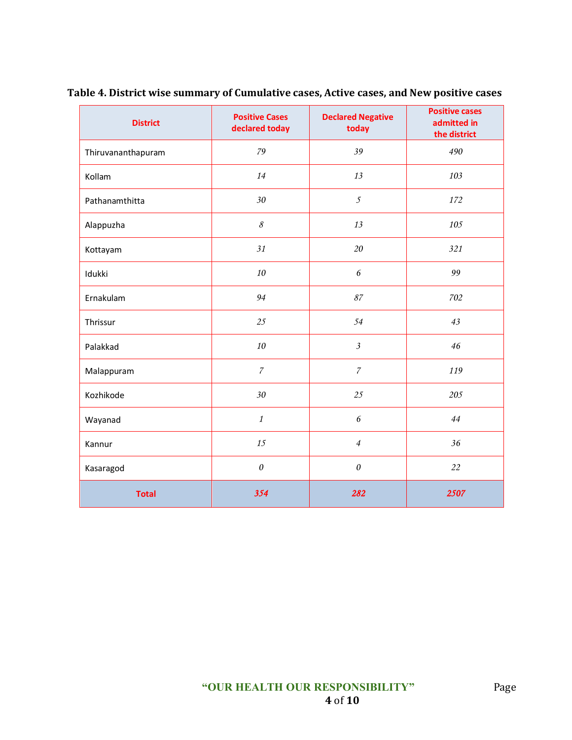| <b>District</b>    | <b>Positive Cases</b><br>declared today | <b>Declared Negative</b><br>today | <b>Positive cases</b><br>admitted in<br>the district |
|--------------------|-----------------------------------------|-----------------------------------|------------------------------------------------------|
| Thiruvananthapuram | 79                                      | 39                                | 490                                                  |
| Kollam             | 14                                      | 13                                | 103                                                  |
| Pathanamthitta     | 30                                      | $\mathfrak{I}$                    | 172                                                  |
| Alappuzha          | $\mathcal S$                            | 13                                | 105                                                  |
| Kottayam           | 31                                      | 20                                | 321                                                  |
| Idukki             | 10                                      | 6                                 | 99                                                   |
| Ernakulam          | 94                                      | $\mathcal{S}7$                    | 702                                                  |
| Thrissur           | 25                                      | 54                                | 43                                                   |
| Palakkad           | 10                                      | $\mathfrak{Z}$                    | 46                                                   |
| Malappuram         | $\boldsymbol{7}$                        | $\boldsymbol{7}$                  | 119                                                  |
| Kozhikode          | 30                                      | 25                                | 205                                                  |
| Wayanad            | $\mathbf{1}$                            | $\epsilon$                        | 44                                                   |
| Kannur             | 15                                      | $\overline{4}$                    | 36                                                   |
| Kasaragod          | $\boldsymbol{\mathit{0}}$               | $\boldsymbol{\mathit{0}}$         | 22                                                   |
| <b>Total</b>       | 354                                     | 282                               | 2507                                                 |

**Table 4. District wise summary of Cumulative cases, Active cases, and New positive cases**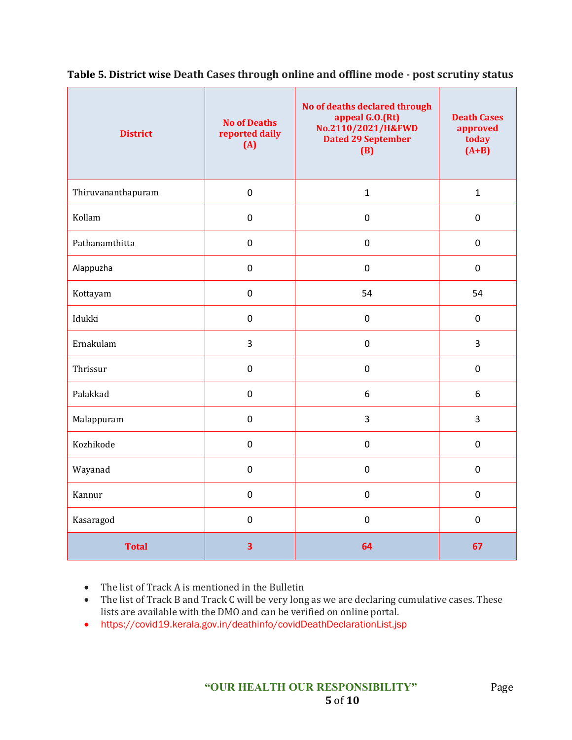| <b>District</b>    | <b>No of Deaths</b><br>reported daily<br>(A) | No of deaths declared through<br>appeal G.O.(Rt)<br>No.2110/2021/H&FWD<br><b>Dated 29 September</b><br>(B) | <b>Death Cases</b><br>approved<br>today<br>$(A+B)$ |
|--------------------|----------------------------------------------|------------------------------------------------------------------------------------------------------------|----------------------------------------------------|
| Thiruvananthapuram | $\mathbf 0$                                  | $\mathbf{1}$                                                                                               | $\mathbf{1}$                                       |
| Kollam             | $\pmb{0}$                                    | $\mathbf 0$                                                                                                | $\mathbf 0$                                        |
| Pathanamthitta     | $\pmb{0}$                                    | $\pmb{0}$                                                                                                  | $\pmb{0}$                                          |
| Alappuzha          | $\pmb{0}$                                    | $\mathsf{O}\xspace$                                                                                        | $\pmb{0}$                                          |
| Kottayam           | $\mathbf 0$                                  | 54                                                                                                         | 54                                                 |
| Idukki             | $\mathbf 0$                                  | $\mathbf 0$                                                                                                | $\mathbf 0$                                        |
| Ernakulam          | 3                                            | $\mathbf 0$                                                                                                | 3                                                  |
| Thrissur           | $\pmb{0}$                                    | $\mathbf 0$                                                                                                | $\mathbf 0$                                        |
| Palakkad           | $\mathbf 0$                                  | 6                                                                                                          | 6                                                  |
| Malappuram         | $\mathbf 0$                                  | 3                                                                                                          | $\overline{3}$                                     |
| Kozhikode          | $\mathbf 0$                                  | $\mathbf 0$                                                                                                | $\mathbf 0$                                        |
| Wayanad            | $\mathbf 0$                                  | $\mathbf 0$                                                                                                | $\mathbf 0$                                        |
| Kannur             | $\pmb{0}$                                    | $\pmb{0}$                                                                                                  | $\mathbf 0$                                        |
| Kasaragod          | $\pmb{0}$                                    | $\mathbf 0$                                                                                                | $\mathbf 0$                                        |
| <b>Total</b>       | 3                                            | 64                                                                                                         | 67                                                 |

**Table 5. District wise Death Cases through online and offline mode - post scrutiny status**

• The list of Track A is mentioned in the Bulletin

- The list of Track B and Track C will be very long as we are declaring cumulative cases. These lists are available with the DMO and can be verified on online portal.
- https://covid19.kerala.gov.in/deathinfo/covidDeathDeclarationList.jsp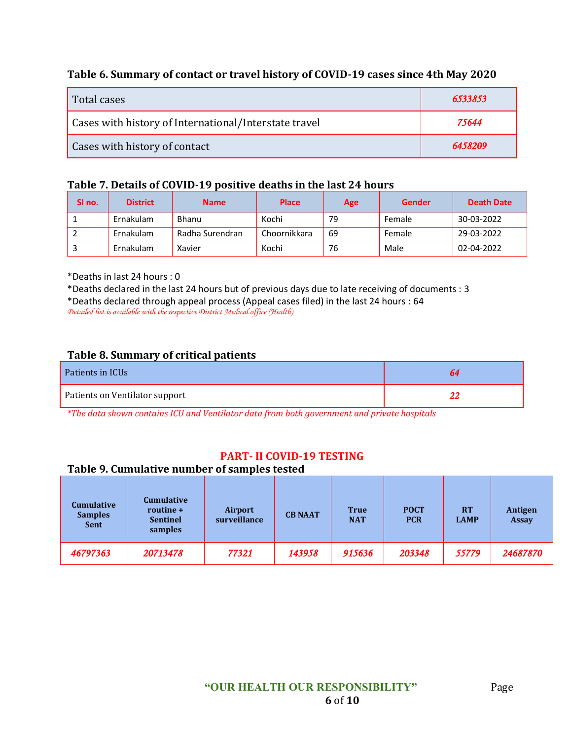### **Table 6. Summary of contact or travel history of COVID-19 cases since 4th May 2020**

| Total cases                                           | 6533853 |
|-------------------------------------------------------|---------|
| Cases with history of International/Interstate travel | 75644   |
| Cases with history of contact                         | 6458209 |

#### **Table 7. Details of COVID-19 positive deaths in the last 24 hours**

| SI no. | <b>District</b>  | <b>Name</b>     | <b>Place</b> | Age | Gender | Death Date |
|--------|------------------|-----------------|--------------|-----|--------|------------|
|        | <b>Ernakulam</b> | Bhanu           | Kochi        | 79  | Female | 30-03-2022 |
|        | <b>Ernakulam</b> | Radha Surendran | Choornikkara | 69  | Female | 29-03-2022 |
|        | Ernakulam        | Xavier          | Kochi        | 76  | Male   | 02-04-2022 |

\*Deaths in last 24 hours : 0

\*Deaths declared in the last 24 hours but of previous days due to late receiving of documents : 3

\*Deaths declared through appeal process (Appeal cases filed) in the last 24 hours : 64

*Detailed list is available with the respective District Medical office (Health)*

#### **Table 8. Summary of critical patients**

| Patients in ICUs               | 64 |
|--------------------------------|----|
| Patients on Ventilator support |    |

*\*The data shown contains ICU and Ventilator data from both government and private hospitals*

#### **PART- II COVID-19 TESTING**

### **Table 9. Cumulative number of samples tested**

| <b>Cumulative</b><br><b>Samples</b><br><b>Sent</b> | <b>Cumulative</b><br>routine +<br><b>Sentinel</b><br>samples | Airport<br>surveillance | <b>CB NAAT</b> | <b>True</b><br><b>NAT</b> | <b>POCT</b><br><b>PCR</b> | <b>RT</b><br><b>LAMP</b> | Antigen<br><b>Assay</b> |
|----------------------------------------------------|--------------------------------------------------------------|-------------------------|----------------|---------------------------|---------------------------|--------------------------|-------------------------|
| 46797363                                           | 20713478                                                     | 77321                   | 143958         | 915636                    | 203348                    | 55779                    | 24687870                |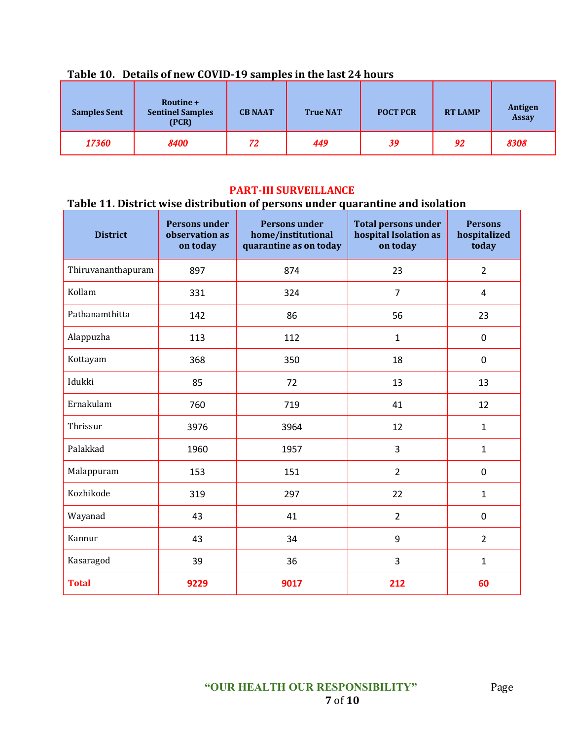| <b>Samples Sent</b> | Routine +<br><b>Sentinel Samples</b><br>(PCR) | <b>CB NAAT</b> | <b>True NAT</b> | <b>POCT PCR</b> | <b>RT LAMP</b> | Antigen<br><b>Assay</b> |
|---------------------|-----------------------------------------------|----------------|-----------------|-----------------|----------------|-------------------------|
| 17360               | 8400                                          | 72             | 449             | 39              | 92             | 8308                    |

## **Table 10. Details of new COVID-19 samples in the last 24 hours**

### **PART-III SURVEILLANCE**

# **Table 11. District wise distribution of persons under quarantine and isolation**

| <b>District</b>    | <b>Persons under</b><br>observation as<br>on today | <b>Persons under</b><br>home/institutional<br>quarantine as on today | <b>Total persons under</b><br>hospital Isolation as<br>on today | <b>Persons</b><br>hospitalized<br>today |
|--------------------|----------------------------------------------------|----------------------------------------------------------------------|-----------------------------------------------------------------|-----------------------------------------|
| Thiruvananthapuram | 897                                                | 874                                                                  | 23                                                              | $\overline{2}$                          |
| Kollam             | 331                                                | 324                                                                  | $\overline{7}$                                                  | 4                                       |
| Pathanamthitta     | 142                                                | 86                                                                   | 56                                                              | 23                                      |
| Alappuzha          | 113                                                | 112                                                                  | $\mathbf{1}$                                                    | 0                                       |
| Kottayam           | 368                                                | 350                                                                  | 18                                                              | 0                                       |
| Idukki             | 85                                                 | 72                                                                   | 13                                                              | 13                                      |
| Ernakulam          | 760                                                | 719                                                                  | 41                                                              | 12                                      |
| Thrissur           | 3976                                               | 3964                                                                 | 12                                                              | $\mathbf{1}$                            |
| Palakkad           | 1960                                               | 1957                                                                 | 3                                                               | $\mathbf{1}$                            |
| Malappuram         | 153                                                | 151                                                                  | $\overline{2}$                                                  | 0                                       |
| Kozhikode          | 319                                                | 297                                                                  | 22                                                              | $\mathbf{1}$                            |
| Wayanad            | 43                                                 | 41                                                                   | $\overline{2}$                                                  | $\boldsymbol{0}$                        |
| Kannur             | 43                                                 | 34                                                                   | 9                                                               | $\overline{2}$                          |
| Kasaragod          | 39                                                 | 36                                                                   | 3                                                               | $\mathbf{1}$                            |
| <b>Total</b>       | 9229                                               | 9017                                                                 | 212                                                             | 60                                      |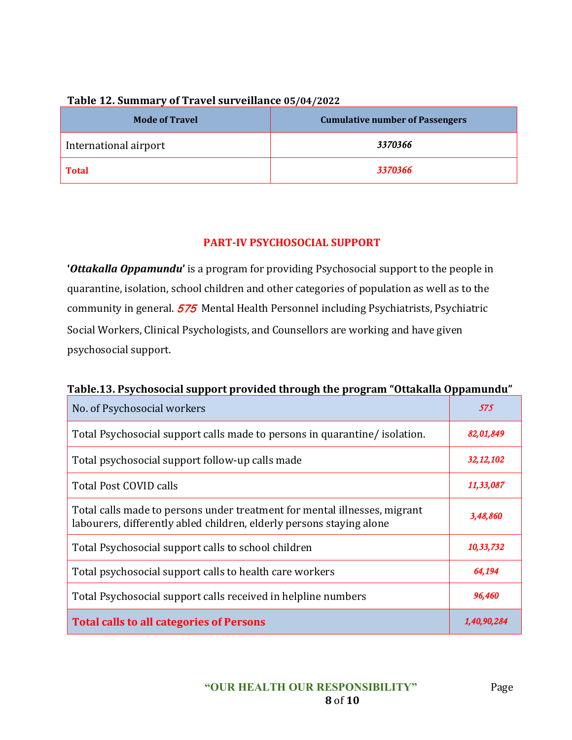| <b>Mode of Travel</b> | <b>Cumulative number of Passengers</b> |
|-----------------------|----------------------------------------|
| International airport | 3370366                                |
| <b>Total</b>          | 3370366                                |

#### **Table 12. Summary of Travel surveillance 05/04/2022**

### **PART-IV PSYCHOSOCIAL SUPPORT**

**'***Ottakalla Oppamundu***'** is a program for providing Psychosocial support to the people in quarantine, isolation, school children and other categories of population as well as to the community in general. 575 Mental Health Personnel including Psychiatrists, Psychiatric Social Workers, Clinical Psychologists, and Counsellors are working and have given psychosocial support.

### **Table.13. Psychosocial support provided through the program "Ottakalla Oppamundu"**

| No. of Psychosocial workers                                                                                                                       | 575         |
|---------------------------------------------------------------------------------------------------------------------------------------------------|-------------|
| Total Psychosocial support calls made to persons in quarantine/isolation.                                                                         | 82,01,849   |
| Total psychosocial support follow-up calls made                                                                                                   | 32, 12, 102 |
| <b>Total Post COVID calls</b>                                                                                                                     | 11,33,087   |
| Total calls made to persons under treatment for mental illnesses, migrant<br>labourers, differently abled children, elderly persons staying alone | 3,48,860    |
| Total Psychosocial support calls to school children                                                                                               | 10,33,732   |
| Total psychosocial support calls to health care workers                                                                                           | 64,194      |
| Total Psychosocial support calls received in helpline numbers                                                                                     | 96,460      |
| <b>Total calls to all categories of Persons</b>                                                                                                   | 1,40,90,28  |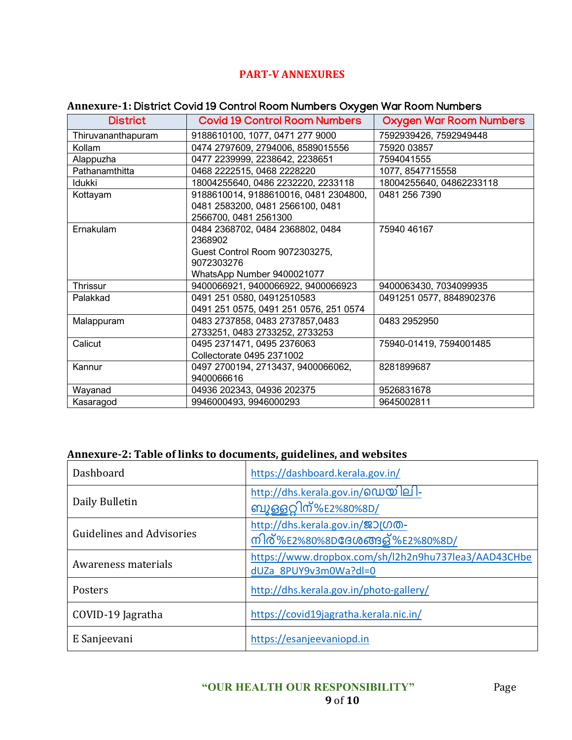## **PART-V ANNEXURES**

## **Annexure-1:** District Covid 19 Control Room Numbers Oxygen War Room Numbers

| <b>District</b>    | <b>Covid 19 Control Room Numbers</b>   | <b>Oxygen War Room Numbers</b> |
|--------------------|----------------------------------------|--------------------------------|
| Thiruvananthapuram | 9188610100, 1077, 0471 277 9000        | 7592939426, 7592949448         |
| Kollam             | 0474 2797609, 2794006, 8589015556      | 75920 03857                    |
| Alappuzha          | 0477 2239999, 2238642, 2238651         | 7594041555                     |
| Pathanamthitta     | 0468 2222515, 0468 2228220             | 1077, 8547715558               |
| Idukki             | 18004255640, 0486 2232220, 2233118     | 18004255640, 04862233118       |
| Kottayam           | 9188610014, 9188610016, 0481 2304800,  | 0481 256 7390                  |
|                    | 0481 2583200, 0481 2566100, 0481       |                                |
|                    | 2566700, 0481 2561300                  |                                |
| Ernakulam          | 0484 2368702, 0484 2368802, 0484       | 75940 46167                    |
|                    | 2368902                                |                                |
|                    | Guest Control Room 9072303275,         |                                |
|                    | 9072303276                             |                                |
|                    | WhatsApp Number 9400021077             |                                |
| Thrissur           | 9400066921, 9400066922, 9400066923     | 9400063430, 7034099935         |
| Palakkad           | 0491 251 0580, 04912510583             | 0491251 0577, 8848902376       |
|                    | 0491 251 0575, 0491 251 0576, 251 0574 |                                |
| Malappuram         | 0483 2737858, 0483 2737857,0483        | 0483 2952950                   |
|                    | 2733251, 0483 2733252, 2733253         |                                |
| Calicut            | 0495 2371471, 0495 2376063             | 75940-01419, 7594001485        |
|                    | Collectorate 0495 2371002              |                                |
| Kannur             | 0497 2700194, 2713437, 9400066062,     | 8281899687                     |
|                    | 9400066616                             |                                |
| Wayanad            | 04936 202343, 04936 202375             | 9526831678                     |
| Kasaragod          | 9946000493, 9946000293                 | 9645002811                     |

## **Annexure-2: Table of links to documents, guidelines, and websites**

| Dashboard                        | https://dashboard.kerala.gov.in/                                              |
|----------------------------------|-------------------------------------------------------------------------------|
| Daily Bulletin                   | http://dhs.kerala.gov.in/@ഡയിലി-<br>ബുള്ളറ്റിന്%E2%80%8D/                     |
| <b>Guidelines and Advisories</b> | http://dhs.kerala.gov.in/ஜつ(のの-<br>നിര്%E2%80%8D <b>ദേശ</b> ങ്ങള്%E2%80%8D/   |
| Awareness materials              | https://www.dropbox.com/sh/l2h2n9hu737lea3/AAD43CHbe<br>dUZa 8PUY9v3m0Wa?dl=0 |
| Posters                          | http://dhs.kerala.gov.in/photo-gallery/                                       |
| COVID-19 Jagratha                | https://covid19jagratha.kerala.nic.in/                                        |
| E Sanjeevani                     | https://esanjeevaniopd.in                                                     |